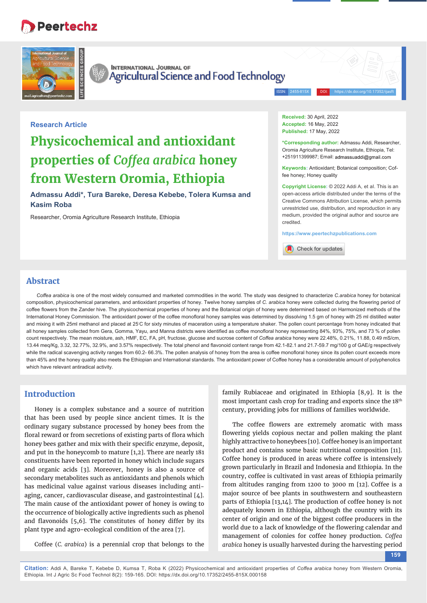# Peertechz





**INTERNATIONAL JOURNAL OF** Agricultural Science and Food Technology

ISSN: 2455-815X DOI: https://dx.doi.org/10.17352/ijasft

#### **Research Article**

# **Physicochemical and antioxidant properties of** *Coff ea arabica* **honey from Western Oromia, Ethiopia**

**Admassu Addi\*, Tura Bareke, Deresa Kebebe, Tolera Kumsa and Kasim Roba**

Researcher, Oromia Agriculture Research Institute, Ethiopia

**Received:** 30 April, 2022 **Accepted:** 16 May, 2022 **Published:** 17 May, 2022

**\*Corresponding author:** Admassu Addi, Researcher, Oromia Agriculture Research Institute, Ethiopia, Tel: +251911399987; Email: admassuaddi@gmail.com

**Keywords:** Antioxidant; Botanical composition; Coffee honey: Honey quality

**Copyright License:** © 2022 Addi A, et al. This is an open-access article distributed under the terms of the Creative Commons Attribution License, which permits unrestricted use, distribution, and reproduction in any medium, provided the original author and source are credited.

**https://www.peertechzpublications.com**

Check for updates

# **Abstract**

*Coff ea arabica* is one of the most widely consumed and marketed commodities in the world. The study was designed to characterize *C.arabica* honey for botanical composition, physicochemical parameters, and antioxidant properties of honey. Twelve honey samples of *C. arabica* honey were collected during the flowering period of coffee flowers from the Zander hive. The physicochemical properties of honey and the Botanical origin of honey were determined based on Harmonized methods of the International Honey Commission. The antioxidant power of the coffee monofloral honey samples was determined by dissolving 1.5 gm of honey with 25 ml distilled water and mixing it with 25ml methanol and placed at 25℃ for sixty minutes of maceration using a temperature shaker. The pollen count percentage from honey indicated that all honey samples collected from Gera, Gomma, Yayu, and Manna districts were identified as coffee monofloral honey representing 84%, 93%, 75%, and 73 % of pollen count respectively. The mean moisture, ash, HMF, EC, FA, pH, fructose, glucose and sucrose content of *Coff ea arabica* honey were 22.48%, 0.21%, 11.88, 0.49 mS/cm, 13.44 meq/Kg, 3.32, 32.77%, 32.9%, and 3.57% respectively. The total phenol and flavonoid content range from 42.1-82.1 and 21.7-59.7 mg/100 g of GAE/g respectively while the radical scavenging activity ranges from 60.2- 66.3%. The pollen analysis of honey from the area is coffee monofloral honey since its pollen count exceeds more than 45% and the honey quality also meets the Ethiopian and International standards. The antioxidant power of Coffee honey has a considerable amount of polyphenolics which have relevant antiradical activity.

## **Introduction**

Honey is a complex substance and a source of nutrition that has been used by people since ancient times. It is the ordinary sugary substance processed by honey bees from the floral reward or from secretions of existing parts of flora which honey bees gather and mix with their specific enzyme, deposit, and put in the honeycomb to mature [1,2]. There are nearly 181 constituents have been reported in honey which include sugars and organic acids [3]. Moreover, honey is also a source of secondary metabolites such as antioxidants and phenols which has medicinal value against various diseases including antiaging, cancer, cardiovascular disease, and gastrointestinal [4]. The main cause of the antioxidant power of honey is owing to the occurrence of biologically active ingredients such as phenol and flavonoids  $[5,6]$ . The constitutes of honey differ by its plant type and agro-ecological condition of the area [7].

Coffee (*C. arabica*) is a perennial crop that belongs to the

family Rubiaceae and originated in Ethiopia [8,9]. It is the most important cash crop for trading and exports since the 18<sup>th</sup> century, providing jobs for millions of families worldwide.

The coffee flowers are extremely aromatic with mass flowering yields copious nectar and pollen making the plant highly attractive to honeybees [10]. Coffee honey is an important product and contains some basic nutritional composition [11]. Coffee honey is produced in areas where coffee is intensively grown particularly in Brazil and Indonesia and Ethiopia. In the country, coffee is cultivated in vast areas of Ethiopia primarily from altitudes ranging from 1200 to 3000 m [12]. Coffee is a major source of bee plants in southwestern and southeastern parts of Ethiopia [13,14]. The production of coffee honey is not adequately known in Ethiopia, although the country with its center of origin and one of the biggest coffee producers in the world due to a lack of knowledge of the flowering calendar and management of colonies for coffee honey production. *Coffea arabica* honey is usually harvested during the harvesting period

**159**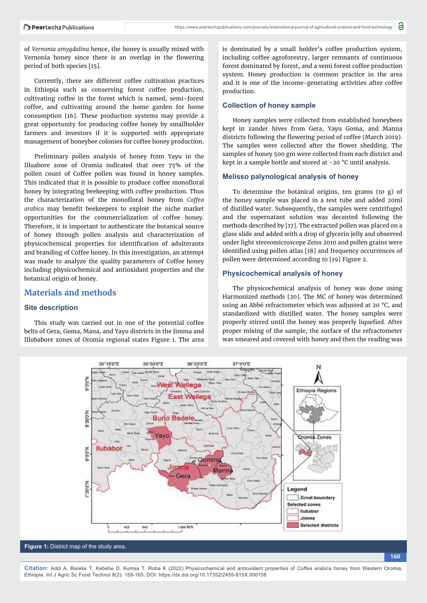of *Vernonia amygdalina* hence, the honey is usually mixed with Vernonia honey since there is an overlap in the flowering period of both species [15].

Currently, there are different coffee cultivation practices in Ethiopia such as conserving forest coffee production, cultivating coffee in the forest which is named, semi-forest coffee, and cultivating around the home garden for home consumption [16]. These production systems may provide a great opportunity for producing coffee honey by smallholder farmers and investors if it is supported with appropriate management of honeybee colonies for coffee honey production.

Preliminary pollen analysis of honey from Yayu in the Illuabore zone of Oromia indicated that over 75% of the pollen count of Coffee pollen was found in honey samples. This indicated that it is possible to produce coffee monofloral honey by integrating beekeeping with coffee production. Thus the characterization of the monofloral honey from *Coffea arabica* may benefit beekeepers to exploit the niche market opportunities for the commercialization of coffee honey. Therefore, it is important to authenticate the botanical source of honey through pollen analysis and characterization of physicochemical properties for identification of adulterants and branding of Coffee honey. In this investigation, an attempt was made to analyze the quality parameters of Coffee honey including physicochemical and antioxidant properties and the botanical origin of honey.

## **Materials and methods**

#### **Site description**

This study was carried out in one of the potential coffee belts of Gera, Goma, Mana, and Yayu districts in the Jimma and Illubabore zones of Oromia regional states Figure 1. The area

is dominated by a small holder's coffee production system, including coffee agroforestry, larger remnants of continuous forest dominated by forest, and a semi forest coffee production system. Honey production is common practice in the area and it is one of the income-generating activities after coffee production.

#### **Collection of honey sample**

Honey samples were collected from established honeybees kept in zander hives from Gera, Yayu Goma, and Manna districts following the flowering period of coffee (March 2019). The samples were collected after the flower shedding. The samples of honey 500 gm were collected from each district and kept in a sample bottle and stored at -20 °C until analysis.

#### **Melisso palynological analysis of honey**

To determine the botanical origins, ten grams (10 g) of the honey sample was placed in a test tube and added 20ml of distilled water. Subsequently, the samples were centrifuged and the supernatant solution was decanted following the methods described by [17]. The extracted pollen was placed on a glass slide and added with a drop of glycerin jelly and observed under light stereomicroscope Zeiss 2010 and pollen grains were identified using pollen atlas [18] and frequency occurrences of pollen were determined according to [19] Figure 2.

#### **Physicochemical analysis of honey**

The physicochemical analysis of honey was done using Harmonized methods [20]. The MC of honey was determined using an Abbé refractometer which was adjusted at 20 °C, and standardized with distilled water. The honey samples were properly stirred until the honey was properly liquefied. After proper mixing of the sample, the surface of the refractometer was smeared and covered with honey and then the reading was

**160**



#### **Figure 1:** District map of the study area.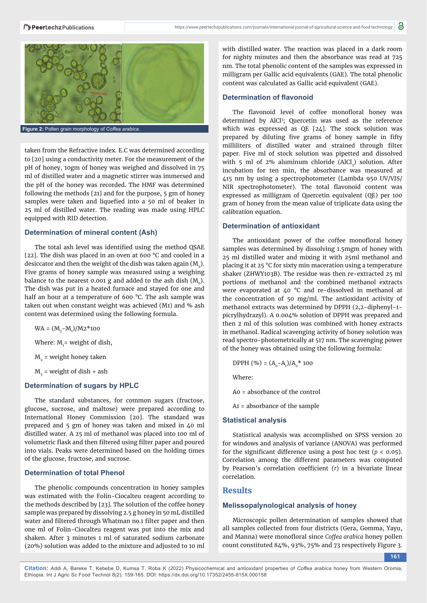

taken from the Refractive index. E.C was determined according to [20] using a conductivity meter. For the measurement of the pH of honey, 10gm of honey was weighed and dissolved in 75 ml of distilled water and a magnetic stirrer was immersed and the pH of the honey was recorded. The HMF was determined following the methods [21] and for the purpose, 5 gm of honey samples were taken and liquefied into a 50 ml of beaker in 25 ml of distilled water. The reading was made using HPLC equipped with RID detection.

#### **Determination of mineral content (Ash)**

The total ash level was identified using the method QSAE [22]. The dish was placed in an oven at 600 °C and cooled in a desiccator and then the weight of the dish was taken again  $(M<sub>2</sub>)$ . Five grams of honey sample was measured using a weighing balance to the nearest 0.001 g and added to the ash dish  $(M_0)$ . The dish was put in a heated furnace and stayed for one and half an hour at a temperature of 600 °C. The ash sample was taken out when constant weight was achieved (M1) and % ash content was determined using the following formula.

 $WA = (M_{3}-M_{1})/M2*100$ 

Where:  $\mathrm{M_{i}^{\text{}}$  weight of dish,

 $M<sub>2</sub>$  = weight honey taken

 $\mathrm{M}_{_{3}}$  = weight of dish + ash

#### **Determination of sugars by HPLC**

The standard substances, for common sugars (fructose, glucose, sucrose, and maltose) were prepared according to International Honey Commission [20]. The standard was prepared and 5 gm of honey was taken and mixed in 40 ml distilled water. A 25 ml of methanol was placed into 100 ml of volumetric flask and then filtered using filter paper and poured into vials. Peaks were determined based on the holding times of the glucose, fructose, and sucrose.

#### **Determination of total Phenol**

The phenolic compounds concentration in honey samples was estimated with the Folin-Ciocalteu reagent according to the methods described by [23]. The solution of the coffee honey sample was prepared by dissolving 2.5 g honey in 50 mL distilled water and filtered through Whatman no.1 filter paper and then one ml of Folin-Ciocalteu reagent was put into the mix and shaken. After 3 minutes 1 ml of saturated sodium carbonate (20%) solution was added to the mixture and adjusted to 10 ml

with distilled water. The reaction was placed in a dark room for nighty minutes and then the absorbance was read at 725 nm. The total phenolic content of the samples was expressed in milligram per Gallic acid equivalents (GAE). The total phenolic content was calculated as Gallic acid equivalent (GAE).

#### **Determination of flavonoid**

The flavonoid level of coffee monofloral honey was determined by AlCl3 ; Quercetin was used as the reference which was expressed as QE [24]. The stock solution was prepared by diluting five grams of honey sample in fifty milliliters of distilled water and strained through filter paper. Five ml of stock solution was pipetted and dissolved with 5 ml of 2% aluminum chloride (AlCl<sub>3</sub>) solution. After incubation for ten min, the absorbance was measured at 415 nm by using a spectrophotometer (Lambda 950 UV/VIS/ NIR spectrophotometer). The total flavonoid content was expressed as milligram of Quercetin equivalent (QE) per 100 gram of honey from the mean value of triplicate data using the calibration equation.

#### **Determination of antioxidant**

The antioxidant power of the coffee monofloral honey samples was determined by dissolving 1.5mgm of honey with 25 ml distilled water and mixing it with 25ml methanol and placing it at 25 °C for sixty min maceration using a temperature shaker (ZHWY103B). The residue was then re-extracted 25 ml portions of methanol and the combined methanol extracts were evaporated at 40 °C and re-dissolved in methanol at the concentration of 50 mg/ml. The antioxidant activity of methanol extracts was determined by DPPH (2,2-diphenyl-1 picrylhydrazyl). A 0.004% solution of DPPH was prepared and then 2 ml of this solution was combined with honey extracts in methanol. Radical scavenging activity of honey solution was read spectro-photometrically at 517 nm. The scavenging power of the honey was obtained using the following formula:

DPPH (%) =  $(A_0 - A_1)/A_0^*$  100

Where:

A0 = absorbance of the control

A1 = absorbance of the sample

#### **Statistical analysis**

Statistical analysis was accomplished on SPSS version 20 for windows and analysis of variance (ANOVA) was performed for the significant difference using a post hoc test  $(p < 0.05)$ . Correlation among the different parameters was computed by Pearson's correlation coefficient (*r*) in a bivariate linear correlation.

## **Results**

## **Melissopalynological analysis of honey**

Microscopic pollen determination of samples showed that all samples collected from four districts (Gera, Gomma, Yayu, and Manna) were monofloral since *Coffea arabica* honey pollen count constituted 84%, 93%, 75% and 73 respectively Figure 3.

**161**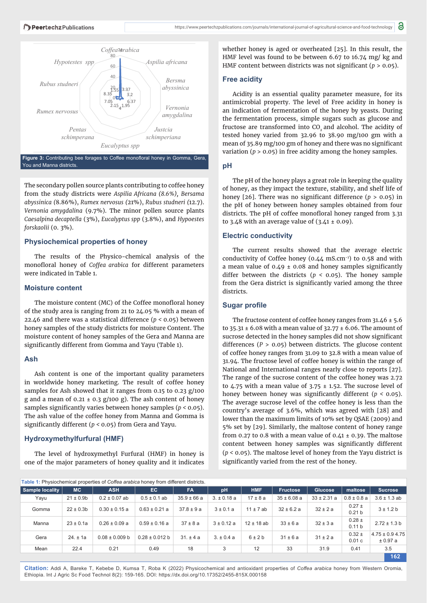

Figure 3: Contributing bee forages to Coffee monofloral honey in Gomma, Gera, You and Manna districts

The secondary pollen source plants contributing to coffee honey from the study districts were *Aspilia Africana (8.6%), Bersama abyssinica (*8.86%), *Rumex nervosus (*21%), *Rubus studneri (*12.7). *Vernonia amygdalina* (9.7%). The minor pollen source plants *Caesalpina decaptella* (3%), *Eucalyptus spp* (3.8%), and *Hypoestes forskaolii* (0. 3%).

#### **Physiochemical properties of honey**

The results of the Physico-chemical analysis of the monofloral honey of *Coffea arabica* for different parameters were indicated in Table 1.

#### **Moisture content**

The moisture content (MC) of the Coffee monofloral honey of the study area is ranging from 21 to 24.05 % with a mean of 22.46 and there was a statistical difference (*p <* 0.05) between honey samples of the study districts for moisture Content. The moisture content of honey samples of the Gera and Manna are significantly different from Gomma and Yayu (Table 1).

## **Ash**

Ash content is one of the important quality parameters in worldwide honey marketing. The result of coffee honey samples for Ash showed that it ranges from 0.15 to 0.23 g/100 g and a mean of  $0.21 \pm 0.3$  g/100 g). The ash content of honey samples significantly varies between honey samples  $(p < 0.05)$ . The ash value of the coffee honey from Manna and Gomma is significantly different ( $p < 0.05$ ) from Gera and Yayu.

## **Hydroxymethylfurfural (HMF)**

The level of hydroxymethyl Furfural (HMF) in honey is one of the major parameters of honey quality and it indicates whether honey is aged or overheated [25]. In this result, the HMF level was found to be between 6.67 to 16.74 mg/ kg and HMF content between districts was not significant ( $p > 0.05$ ).

#### **Free acidity**

Acidity is an essential quality parameter measure, for its antimicrobial property. The level of Free acidity in honey is an indication of fermentation of the honey by yeasts. During the fermentation process, simple sugars such as glucose and fructose are transformed into CO<sub>2</sub> and alcohol. The acidity of tested honey varied from 32.96 to 38.90 mg/100 gm with a mean of 35.89 mg/100 gm of honey and there was no significant variation (*p* > 0.05) in free acidity among the honey samples.

## **pH**

The pH of the honey plays a great role in keeping the quality of honey, as they impact the texture, stability, and shelf life of honey [26]. There was no significant difference  $(p > 0.05)$  in the pH of honey between honey samples obtained from four districts. The pH of coffee monofloral honey ranged from 3.31 to 3.48 with an average value of  $(3.41 \pm 0.09)$ .

## **Electric conductivity**

The current results showed that the average electric conductivity of Coffee honey ( $0.44$  mS.cm<sup>-1</sup>) to  $0.58$  and with a mean value of  $0.49 \pm 0.08$  and honey samples significantly differ between the districts ( $p < 0.05$ ). The honey sample from the Gera district is significantly varied among the three districts.

## **Sugar profile**

The fructose content of coffee honey ranges from 31.46 ± 5.6 to  $35.31 \pm 6.08$  with a mean value of  $32.77 \pm 6.06$ . The amount of sucrose detected in the honey samples did not show significant differences (*P* > 0.05) between districts. The glucose content of coffee honey ranges from 31.09 to 32.8 with a mean value of 31.94. The fructose level of coffee honey is within the range of National and International ranges nearly close to reports [27]. The range of the sucrose content of the coffee honey was 2.72 to 4.75 with a mean value of  $3.75 \pm 1.52$ . The sucrose level of honey between honey was significantly different ( $p < 0.05$ ). The average sucrose level of the coffee honey is less than the country's average of 3.6%, which was agreed with [28] and lower than the maximum limits of 10% set by QSAE (2009) and 5% set by [29]. Similarly, the maltose content of honey range from 0.27 to 0.8 with a mean value of 0.41  $\pm$  0.39. The maltose content between honey samples was significantly different (*p <* 0.05). The maltose level of honey from the Yayu district is significantly varied from the rest of the honey.

| Table 1: Physiochemical properties of Coffea arabica honey from different districts. |                |                    |                    |                 |                 |                |                 |                 |                                 |                                 |
|--------------------------------------------------------------------------------------|----------------|--------------------|--------------------|-----------------|-----------------|----------------|-----------------|-----------------|---------------------------------|---------------------------------|
| Sample locality                                                                      | <b>MC</b>      | <b>ASH</b>         | EC.                | <b>FA</b>       | pH              | <b>HMF</b>     | <b>Fructose</b> | <b>Glucose</b>  | maltose                         | <b>Sucrose</b>                  |
| Yayu                                                                                 | $21 \pm 0.9$ b | $0.2 \pm 0.07$ ab  | $0.5 \pm 0.1$ ab   | $35.9 \pm 66 a$ | $3. \pm 0.18$ a | $17 \pm 8a$    | $35 \pm 6.08$ a | $33 \pm 2.31$ a | $0.8 \pm 0.8 a$                 | $3.6 \pm 1.3$ ab                |
| Gomma                                                                                | $22 \pm 0.3b$  | $0.30 \pm 0.15$ a  | $0.63 \pm 0.21$ a  | $37.8 \pm 9a$   | $3 \pm 0.1 a$   | $11 \pm 7$ ab  | $32 \pm 6.2 a$  | $32 \pm 2a$     | $0.27 \pm$<br>0.21 <sub>b</sub> | $3 \pm 1.2 b$                   |
| Manna                                                                                | $23 \pm 0.1a$  | $0.26 \pm 0.09$ a  | $0.59 \pm 0.16$ a  | $37 \pm 8$ a    | $3 \pm 0.12$ a  | $12 \pm 18$ ab | $33 \pm 6a$     | $32 \pm 3a$     | $0.28 \pm$<br>0.11 <sub>b</sub> | $2.72 \pm 1.3$ b                |
| Gera                                                                                 | $24. \pm 1a$   | $0.08 \pm 0.009$ b | $0.28 \pm 0.012$ b | $31. \pm 4a$    | $3. \pm 0.4 a$  | $6 \pm 2 b$    | $31 \pm 6a$     | $31 \pm 2a$     | $0.32 \pm$<br>0.01c             | $4.75 \pm 0.9$ 4.75<br>± 0.97 a |
| Mean                                                                                 | 22.4           | 0.21               | 0.49               | 18              | 3               | 12             | 33              | 31.9            | 0.41                            | 3.5                             |
|                                                                                      |                |                    |                    |                 |                 |                |                 |                 |                                 | 162                             |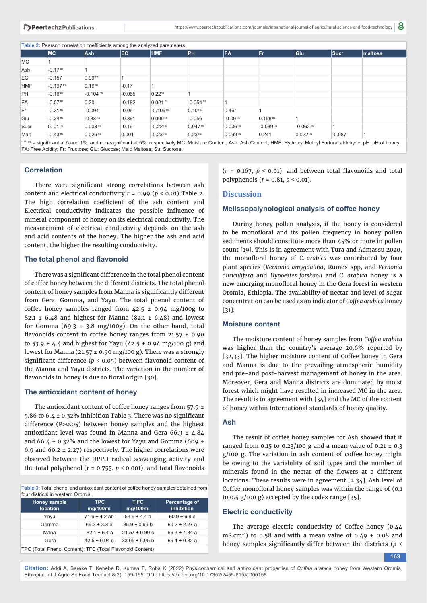**Table 2:** Pearson correlation coefficients among the analyzed parameters.

FA: Free Acidity; Fr: Fructose; Glu: Glucose; Malt: Maltose; Su: Sucrose.

|            |                        | son sides in soomsidents annong the anial just parameters. |          |                        |                        |                       |                        |                        |          |                                                                                                                                                                             |  |
|------------|------------------------|------------------------------------------------------------|----------|------------------------|------------------------|-----------------------|------------------------|------------------------|----------|-----------------------------------------------------------------------------------------------------------------------------------------------------------------------------|--|
|            | МC                     | <b>Ash</b>                                                 | EC.      | <b>HMF</b>             | ∣PH                    | FA                    | <b>Fr</b>              | Glu                    | $ S$ ucr | maltose                                                                                                                                                                     |  |
| MC         |                        |                                                            |          |                        |                        |                       |                        |                        |          |                                                                                                                                                                             |  |
| Ash        | $-0.17$ <sup>ns</sup>  |                                                            |          |                        |                        |                       |                        |                        |          |                                                                                                                                                                             |  |
| EC         | $-0.157$               | $0.99**$                                                   |          |                        |                        |                       |                        |                        |          |                                                                                                                                                                             |  |
| <b>HMF</b> | $-0.197$ <sup>ns</sup> | 0.16 <sup>ns</sup>                                         | $-0.17$  |                        |                        |                       |                        |                        |          |                                                                                                                                                                             |  |
| PH         | $-0.16$ <sup>ns</sup>  | $-0.104$ <sup>ns</sup>                                     | $-0.065$ | 0.22 <sup>ns</sup>     |                        |                       |                        |                        |          |                                                                                                                                                                             |  |
| FA         | $-0.07$ <sup>ns</sup>  | 0.20                                                       | $-0.182$ | 0.021 <sup>ns</sup>    | $-0.054$ <sup>ns</sup> |                       |                        |                        |          |                                                                                                                                                                             |  |
| Fr         | $-0.31$ <sup>ns</sup>  | $-0.094$                                                   | $-0.09$  | $-0.105$ <sup>ns</sup> | 0.10 <sup>ns</sup>     | $0.46*$               |                        |                        |          |                                                                                                                                                                             |  |
| Glu        | $-0.34$ <sup>ns</sup>  | $-0.38$ <sup>ns</sup>                                      | $-0.36*$ | 0.009 <sup>ns</sup>    | $-0.056$               | $-0.09$ <sup>ns</sup> | 0.198 <sup>ns</sup>    |                        |          |                                                                                                                                                                             |  |
| Sucr       | 0.01 <sup>ns</sup>     | 0.003 <sup>ns</sup>                                        | $-0.19$  | $-0.22$ <sup>ns</sup>  | 0.047 <sup>ns</sup>    | $0.036$ <sup>ns</sup> | $-0.039$ <sup>ns</sup> | $-0.062$ <sup>ns</sup> |          |                                                                                                                                                                             |  |
| Malt       | $-0.43$ <sup>ns</sup>  | 0.026 <sup>ns</sup>                                        | 0.001    | $-0.23$ <sup>ns</sup>  | 0.23 <sup>ns</sup>     | $0.099$ <sup>ns</sup> | 0.241                  | 0.022 <sup>ns</sup>    | $-0.087$ |                                                                                                                                                                             |  |
|            |                        |                                                            |          |                        |                        |                       |                        |                        |          | : " ins = significant at 5 and 1%, and non-significant at 5%, respectively.MC: Moisture Content; Ash: Ash Content; HMF: Hydroxyl Methyl Furfural aldehyde, pH: pH of honey; |  |

**Correlation** 

There were significant strong correlations between ash content and electrical conductivity *r* = 0.99 (*p <* 0.01) Table 2. The high correlation coefficient of the ash content and Electrical conductivity indicates the possible influence of mineral component of honey on its electrical conductivity. The measurement of electrical conductivity depends on the ash and acid contents of the honey. The higher the ash and acid content, the higher the resulting conductivity.

#### **The total phenol and flavonoid**

There was a significant difference in the total phenol content of coffee honey between the different districts. The total phenol content of honey samples from Manna is significantly different from Gera, Gomma, and Yayu. The total phenol content of coffee honey samples ranged from  $42.5 \pm 0.94$  mg/100g to 82.1  $\pm$  6.48 and highest for Manna (82.1  $\pm$  6.48) and lowest for Gomma (69.3  $\pm$  3.8 mg/100g). On the other hand, total flavonoids content in coffee honey ranges from  $21.57 \pm 0.90$ to 53.9  $\pm$  4.4 and highest for Yayu (42.5  $\pm$  0.94 mg/100 g) and lowest for Manna (21.57  $\pm$  0.90 mg/100 g). There was a strongly significant difference ( $p < 0.05$ ) between flavonoid content of the Manna and Yayu districts. The variation in the number of flavonoids in honey is due to floral origin [30].

#### **The antioxidant content of honey**

The antioxidant content of coffee honey ranges from 57.9 ± 5.86 to 6.4  $\pm$  0.32% inhibition Table 3. There was no significant difference (P>0.05) between honey samples and the highest antioxidant level was found in Manna and Gera 66.3  $\pm$  4.84 and 66.4  $\pm$  0.32% and the lowest for Yayu and Gomma (609  $\pm$ 6.9 and 60.2  $\pm$  2.27) respectively. The higher correlations were observed between the DPPH radical scavenging activity and the total polyphenol ( $r = 0.755$ ,  $p < 0.001$ ), and total flavonoids

Table 3: Total phenol and antioxidant content of coffee honey samples obtained from four districts in western Oromia.

| Honey sample<br><b>location</b>                           | <b>TPC</b><br>mg/100ml | T FC<br>mg/100ml   | Percentage of<br><i>inhibition</i> |  |  |  |  |
|-----------------------------------------------------------|------------------------|--------------------|------------------------------------|--|--|--|--|
| Yayu                                                      | $71.6 \pm 4.2$ ab      | $53.9 \pm 4.4$ a   | $60.9 \pm 6.9 a$                   |  |  |  |  |
| Gomma                                                     | $69.3 \pm 3.8$ b       | $35.9 \pm 0.99 b$  | $60.2 \pm 2.27$ a                  |  |  |  |  |
| Mana                                                      | $82.1 \pm 6.4$ a       | $21.57 \pm 0.90$ c | $66.3 \pm 4.84$ a                  |  |  |  |  |
| Gera                                                      | $42.5 \pm 0.94$ c      | $33.05 \pm 5.05$ b | $66.4 \pm 0.32$ a                  |  |  |  |  |
| TDC (Total Phonal Contant): TEC (Total Elavanoid Contant) |                        |                    |                                    |  |  |  |  |

TPC (Total Phenol Content); TFC (Total Flavonoid Content)

 $(r = 0.167, p < 0.01)$ , and between total flavonoids and total polyphenols (*r* = 0.81, *p <* 0.01).

#### **Discussion**

#### **Melissopalynological analysis of coffee honey**

During honey pollen analysis, if the honey is considered to be monofloral and its pollen frequency in honey pollen sediments should constitute more than 45% or more in pollen count [19]. This is in agreement with Tura and Admassu 2020, the monofloral honey of *C. arabica* was contributed by four plant species (*Vernonia amygdalina*, Rumex spp, and *Vernonia auriculifera* and *Hypoestes forskaoli* and C. *arabica* honey is a new emerging monofloral honey in the Gera forest in western Oromia, Ethiopia. The availability of nectar and level of sugar concentration can be used as an indicator of *Coffea arabica* honey [31].

#### **Moisture content**

The moisture content of honey samples from *Coffea arabica* was higher than the country's average 20.6% reported by [32,33]. The higher moisture content of Coffee honey in Gera and Manna is due to the prevailing atmospheric humidity and pre-and post-harvest management of honey in the area. Moreover, Gera and Manna districts are dominated by moist forest which might have resulted in increased MC in the area. The result is in agreement with [34] and the MC of the content of honey within International standards of honey quality.

#### **Ash**

The result of coffee honey samples for Ash showed that it ranged from 0.15 to 0.23/100 g and a mean value of 0.21  $\pm$  0.3 g/100 g. The variation in ash content of coffee honey might be owing to the variability of soil types and the number of minerals found in the nectar of the flowers at a different locations. These results were in agreement [2,34]. Ash level of Coffee monofloral honey samples was within the range of  $(0.1)$ to 0.5 g/100 g) accepted by the codex range [35].

## **Electric conductivity**

The average electric conductivity of Coffee honey (0.44 mS.cm<sup>-1</sup>) to 0.58 and with a mean value of 0.49  $\pm$  0.08 and honey samples significantly differ between the districts ( $p <$ 

**163**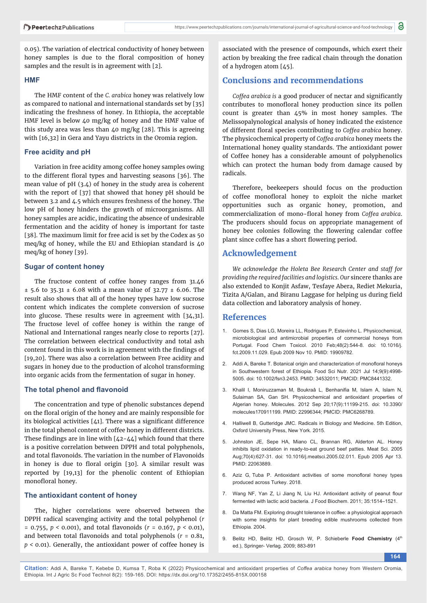0.05). The variation of electrical conductivity of honey between honey samples is due to the floral composition of honey samples and the result is in agreement with [2].

#### **HMF**

The HMF content of the *C. arabica* honey was relatively low as compared to national and international standards set by [35] indicating the freshness of honey. In Ethiopia, the acceptable HMF level is below 40 mg/kg of honey and the HMF value of this study area was less than 40 mg/kg [28]. This is agreeing with [16,32] in Gera and Yayu districts in the Oromia region.

#### **Free acidity and pH**

Variation in free acidity among coffee honey samples owing to the different floral types and harvesting seasons [36]. The mean value of pH (3.4) of honey in the study area is coherent with the report of [37] that showed that honey pH should be between 3.2 and 4.5 which ensures freshness of the honey. The low pH of honey hinders the growth of microorganisms. All honey samples are acidic, indicating the absence of undesirable fermentation and the acidity of honey is important for taste [38]. The maximum limit for free acid is set by the Codex as 50 meq/kg of honey, while the EU and Ethiopian standard is 40 meq/kg of honey [39].

#### **Sugar of content honey**

The fructose content of coffee honey ranges from 31.46 ± 5.6 to 35.31 ± 6.08 with a mean value of 32.77 ± 6.06. The result also shows that all of the honey types have low sucrose content which indicates the complete conversion of sucrose into glucose. These results were in agreement with [34,31]. The fructose level of coffee honey is within the range of National and International ranges nearly close to reports [27]. The correlation between electrical conductivity and total ash content found in this work is in agreement with the findings of [19,20]. There was also a correlation between Free acidity and sugars in honey due to the production of alcohol transforming into organic acids from the fermentation of sugar in honey.

#### **The total phenol and flavonoid**

The concentration and type of phenolic substances depend on the floral origin of the honey and are mainly responsible for its biological activities  $[41]$ . There was a significant difference in the total phenol content of coffee honey in different districts. These findings are in line with  $[42-44]$  which found that there is a positive correlation between DPPH and total polyphenols, and total flavonoids. The variation in the number of Flavonoids in honey is due to floral origin [30]. A similar result was reported by [19,13] for the phenolic content of Ethiopian monofloral honey.

#### **The antioxidant content of honey**

The, higher correlations were observed between the DPPH radical scavenging activity and the total polyphenol (*r*  $= 0.755$ ,  $p < 0.001$ ), and total flavonoids ( $r = 0.167$ ,  $p < 0.01$ ), and between total flavonoids and total polyphenols  $(r = 0.81,$ *p <* 0.01). Generally, the antioxidant power of coffee honey is

associated with the presence of compounds, which exert their action by breaking the free radical chain through the donation of a hydrogen atom [45].

# **Conclusions and recommendations**

Coffea arabica is a good producer of nectar and significantly contributes to monofloral honey production since its pollen count is greater than 45% in most honey samples. The Melissopalynological analysis of honey indicated the existence of different floral species contributing to *Coffea arabica* honey. The physicochemical property of *Coffea arabica* honey meets the International honey quality standards. The antioxidant power of Coffee honey has a considerable amount of polyphenolics which can protect the human body from damage caused by radicals.

Therefore, beekeepers should focus on the production of coffee monofloral honey to exploit the niche market opportunities such as organic honey, promotion, and commercialization of mono-floral honey from *Coffea arabica*. The producers should focus on appropriate management of honey bee colonies following the flowering calendar coffee plant since coffee has a short flowering period.

## **Acknowledgement**

*We acknowledge the Holeta Bee Research Center and staff for providing the required facilities and logistics. Our* sincere thanks are also extended to Konjit Asfaw, Tesfaye Abera, Rediet Mekuria, Tizita A/Galan, and Biranu Laggase for helping us during field data collection and laboratory analysis of honey.

## **References**

- 1. Gomes S, Dias LG, Moreira LL, Rodrigues P, Estevinho L. Physicochemical, microbiological and antimicrobial properties of commercial honeys from Portugal. Food Chem Toxicol. 2010 Feb;48(2):544-8. doi: 10.1016/j. fct.2009.11.029. Epub 2009 Nov 10. PMID: 19909782.
- 2. Addi A, Bareke T. Botanical origin and characterization of monofloral honeys in Southwestern forest of Ethiopia. Food Sci Nutr. 2021 Jul 14;9(9):4998- 5005. doi: 10.1002/fsn3.2453. PMID: 34532011; PMCID: PMC8441332.
- 3. Khalil I, Moniruzzaman M, Boukraâ L, Benhanifia M, Islam A, Islam N, Sulaiman SA, Gan SH. Physicochemical and antioxidant properties of Algerian honey. Molecules. 2012 Sep 20;17(9):11199-215. doi: 10.3390/ molecules170911199. PMID: 22996344; PMCID: PMC6268789.
- 4. Halliwell B, Gutteridge JMC. Radicals in Biology and Medicine. 5th Edition, Oxford University Press, New York. 2015.
- 5. Johnston JE, Sepe HA, Miano CL, Brannan RG, Alderton AL. Honey inhibits lipid oxidation in ready-to-eat ground beef patties. Meat Sci. 2005 Aug;70(4):627-31. doi: 10.1016/j.meatsci.2005.02.011. Epub 2005 Apr 13. PMID: 22063889.
- 6. Aziz G. Tuba P. Antioxidant activities of some monofloral honey types produced across Turkey. 2018.
- 7. Wang NF, Yan Z, Li Jiang N, Liu HJ. Antioxidant activity of peanut flour fermented with lactic acid bacteria. J Food Biochem. 2011; 35:1514–1521.
- Da Matta FM. Exploring drought tolerance in coffee: a physiological approach with some insights for plant breeding edible mushrooms collected from Ethiopia. 2004.
- 9. Belitz HD, Belitz HD, Grosch W, P. Schieberle Food Chemistry (4<sup>th</sup> ed.), Springer- Verlag. 2009; 883-891

**164**